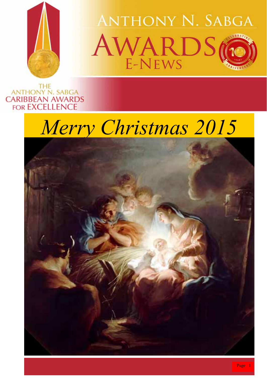

**ANTHONY N. SABGA** AWARDS

THE<br>ANTHONY N. SABGA **CARIBBEAN AWARDS FOR EXCELLENCE** 



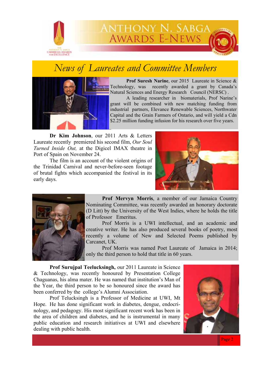

ANTHONY N. SABGA<br>AWARDS E-NEWS

## *News of Laureates and Committee Members*



**Prof Suresh Narine**, our 2015 Laureate in Science & Technology, was recently awarded a grant by Canada's Natural Sciences and Energy Research Council (NERSC) .

 A leading researcher in biomaterials, Prof Narine's grant will be combined with new matching funding from industrial partners, Elevance Renewable Sciences, Northwater Capital and the Grain Farmers of Ontario, and will yield a Cdn \$2.25 million funding infusion for his research over five years.

**Dr Kim Johnson**, our 2011 Arts & Letters Laureate recently premiered his second film, *Our Soul Turned Inside Out,* at the Digicel IMAX theatre in Port of Spain on November 24.

 The film is an account of the violent origins of the Trinidad Carnival and never-before-seen footage of brutal fights which accompanied the festival in its early days.





**Prof Mervyn Morris**, a member of our Jamaica Country Nominating Committee, was recently awarded an honorary doctorate (D Litt) by the University of the West Indies, where he holds the title of Professor Emeritus.

 Prof Morris is a UWI intellectual, and an academic and creative writer. He has also produced several books of poetry, most recently a volume of New and Selected Poems published by Carcanet, UK.

 Prof Morris was named Poet Laureate of Jamaica in 2014; only the third person to hold that title in 60 years.

 **Prof Surujpal Teelucksingh,** our 2011 Laureate in Science & Technology, was recently honoured by Presentation College Chaguanas, his alma mater. He was named that institution's Man of the Year, the third person to be so honoured since the award has been conferred by the college's Alumni Association.

 Prof Telucksingh is a Professor of Medicine at UWI, Mt Hope. He has done significant work in diabetes, dengue, endocrinology, and pedagogy. His most significant recent work has been in the area of children and diabetes, and he is instrumental in many public education and research initiatives at UWI and elsewhere dealing with public health.

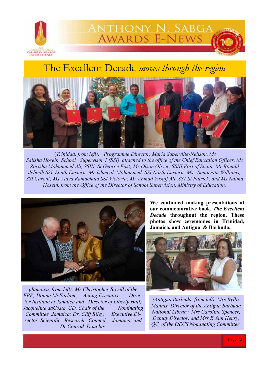

The Excellent Decade *moves through the region* 

ANTHONY N. SABGA<br>AWARDS E-NEWS



(*Trinidad, from left): Programme Director, Maria Superville-Neilson, Ms Salisha Hosein, School Supervisor 1 (SSI) attached to the office of the Chief Education Officer, Ms Zorisha Mohammed Ali, SSIII, St George East; Mr Olson Oliver, SSIII Port of Spain; Mr Ronald Jebodh SSI, South Eastern; Mr Ishmeal Mohammed, SSI North Eastern; Ms Simonetta Williams, SSI Caroni; Ms Vidya Ramachala SSI Victoria; Mr Ahmad Yusuff Ali, SS1 St Patrick, and Ms Naima Hosein, from the Office of the Director of School Supervision, Ministry of Education.*



*(Jamaica, from left): Mr Christopher Bovell of the EPP; Donna McFarlane, Acting Executive Director Institute of Jamaica and Director of Liberty Hall; Jacqueline daCosta, CD, Chair of the Nominating Committee Jamaica; Dr. Cliff Riley, Executive Director, Scientific Research Council, Jamaica; and Dr Conrad Douglas.* 

**We continued making presentations of our commemorative book,** *The Excellent Decade* **throughout the region. These photos show ceremonies in Trinidad, Jamaica, and Antigua & Barbuda.** 



*(Antigua Barbuda, from left)*: *Mrs Ryllis Mannix, Director of the Antigua Barbuda National Library, Mrs Caroline Spencer, Deputy Director, and Mrs E Ann Henry, QC, of the OECS Nominating Committee.*